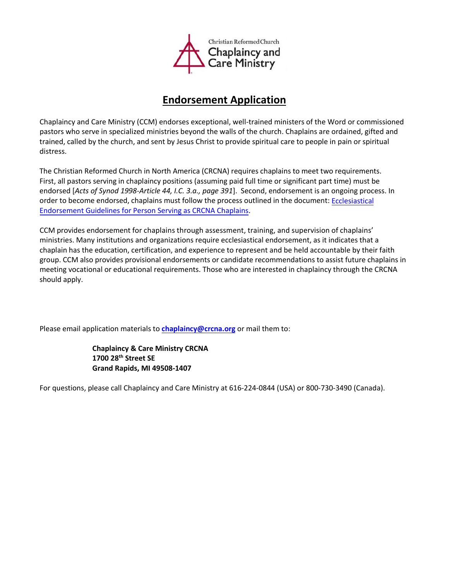

## **Endorsement Application**

Chaplaincy and Care Ministry (CCM) endorses exceptional, well-trained ministers of the Word or commissioned pastors who serve in specialized ministries beyond the walls of the church. Chaplains are ordained, gifted and trained, called by the church, and sent by Jesus Christ to provide spiritual care to people in pain or spiritual distress.

The Christian Reformed Church in North America (CRCNA) requires chaplains to meet two requirements. First, all pastors serving in chaplaincy positions (assuming paid full time or significant part time) must be endorsed [*Acts of Synod 1998-Article 44, I.C. 3.a., page 391*]. Second, endorsement is an ongoing process. In order to become endorsed, chaplains must follow the process outlined in the document: [Ecclesiastical](https://www.crcna.org/sites/default/files/ecclesiastical_endorsement.docx)  Endorsement Guidelines [for Person Serving as CRCNA](https://www.crcna.org/sites/default/files/2018_chaplaincy_endorsement_guidelines.pdf) Chaplains.

CCM provides endorsement for chaplains through assessment, training, and supervision of chaplains' ministries. Many institutions and organizations require ecclesiastical endorsement, as it indicates that a chaplain has the education, certification, and experience to represent and be held accountable by their faith group. CCM also provides provisional endorsements or candidate recommendations to assist future chaplains in meeting vocational or educational requirements. Those who are interested in chaplaincy through the CRCNA should apply.

Please email application materials to **chaplaincy@crcna.org** or mail them to:

**Chaplaincy & Care Ministry CRCNA 1700 28th Street SE Grand Rapids, MI 49508-1407**

For questions, please call Chaplaincy and Care Ministry at 616-224-0844 (USA) or 800-730-3490 (Canada).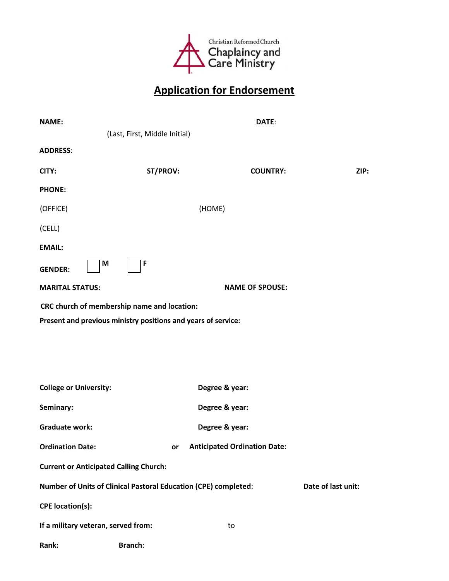

## **Application for Endorsement**

| <b>NAME:</b>                                                    |                    | DATE:                               |      |  |  |  |
|-----------------------------------------------------------------|--------------------|-------------------------------------|------|--|--|--|
| (Last, First, Middle Initial)                                   |                    |                                     |      |  |  |  |
| <b>ADDRESS:</b>                                                 |                    |                                     |      |  |  |  |
| CITY:                                                           | ST/PROV:           | <b>COUNTRY:</b>                     | ZIP: |  |  |  |
| <b>PHONE:</b>                                                   |                    |                                     |      |  |  |  |
| (OFFICE)                                                        | (HOME)             |                                     |      |  |  |  |
| (CELL)                                                          |                    |                                     |      |  |  |  |
| <b>EMAIL:</b>                                                   |                    |                                     |      |  |  |  |
| M<br><b>GENDER:</b>                                             | F                  |                                     |      |  |  |  |
| <b>MARITAL STATUS:</b>                                          |                    | <b>NAME OF SPOUSE:</b>              |      |  |  |  |
| CRC church of membership name and location:                     |                    |                                     |      |  |  |  |
| Present and previous ministry positions and years of service:   |                    |                                     |      |  |  |  |
|                                                                 |                    |                                     |      |  |  |  |
|                                                                 |                    |                                     |      |  |  |  |
|                                                                 |                    |                                     |      |  |  |  |
| <b>College or University:</b>                                   |                    | Degree & year:                      |      |  |  |  |
| Seminary:                                                       |                    | Degree & year:                      |      |  |  |  |
| <b>Graduate work:</b>                                           |                    | Degree & year:                      |      |  |  |  |
| <b>Ordination Date:</b>                                         | or                 | <b>Anticipated Ordination Date:</b> |      |  |  |  |
| <b>Current or Anticipated Calling Church:</b>                   |                    |                                     |      |  |  |  |
| Number of Units of Clinical Pastoral Education (CPE) completed: | Date of last unit: |                                     |      |  |  |  |
| <b>CPE</b> location(s):                                         |                    |                                     |      |  |  |  |
| If a military veteran, served from:                             |                    | to                                  |      |  |  |  |
| Rank:                                                           | <b>Branch:</b>     |                                     |      |  |  |  |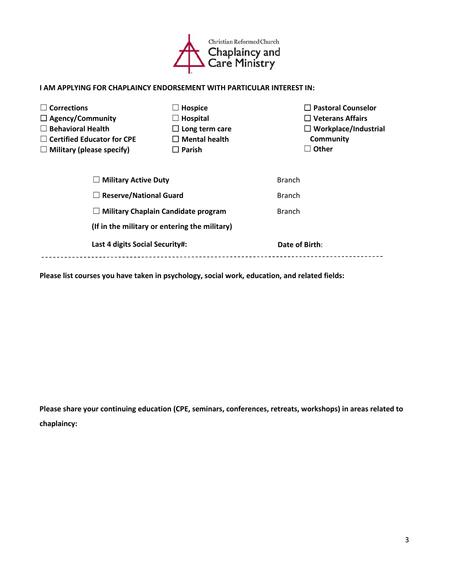

## **I AM APPLYING FOR CHAPLAINCY ENDORSEMENT WITH PARTICULAR INTEREST IN:**

| <b>Corrections</b>                            | Hospice               | $\Box$ Pastoral Counselor   |  |  |
|-----------------------------------------------|-----------------------|-----------------------------|--|--|
| $\Box$ Agency/Community                       | $\Box$ Hospital       | $\Box$ Veterans Affairs     |  |  |
| <b>Behavioral Health</b>                      | $\Box$ Long term care | $\Box$ Workplace/Industrial |  |  |
| $\Box$ Certified Educator for CPE             | $\Box$ Mental health  | Community                   |  |  |
| $\Box$ Military (please specify)              | $\square$ Parish      | <b>Other</b>                |  |  |
| <b>Military Active Duty</b>                   |                       | <b>Branch</b>               |  |  |
| <b>Reserve/National Guard</b><br>$\Box$       |                       | <b>Branch</b>               |  |  |
| <b>Military Chaplain Candidate program</b>    |                       | <b>Branch</b>               |  |  |
| (If in the military or entering the military) |                       |                             |  |  |
| Last 4 digits Social Security#:               |                       | Date of Birth:              |  |  |
|                                               |                       |                             |  |  |

**Please list courses you have taken in psychology, social work, education, and related fields:** 

**Please share your continuing education (CPE, seminars, conferences, retreats, workshops) in areas related to chaplaincy:**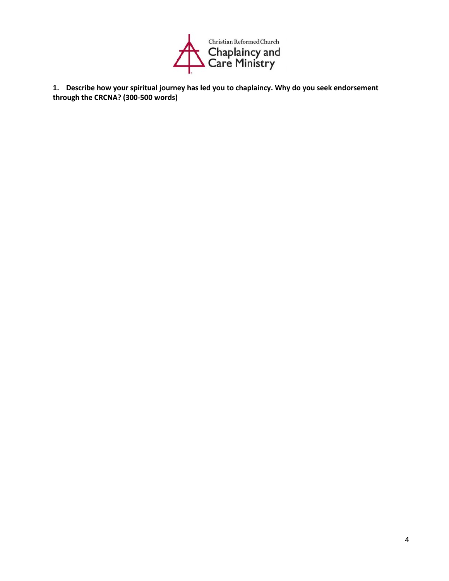

**1. Describe how your spiritual journey has led you to chaplaincy. Why do you seek endorsement through the CRCNA? (300-500 words)**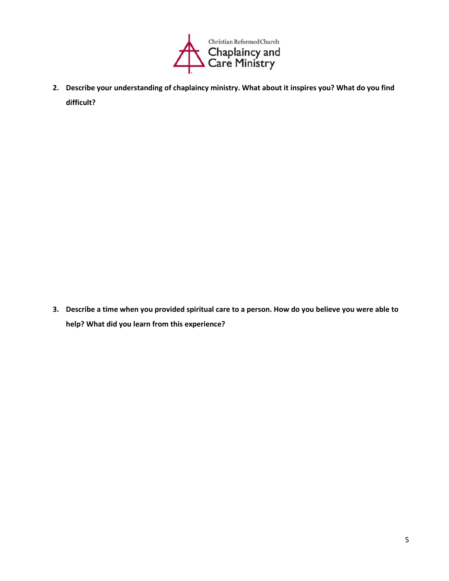

**2. Describe your understanding of chaplaincy ministry. What about it inspires you? What do you find difficult?**

**3. Describe a time when you provided spiritual care to a person. How do you believe you were able to help? What did you learn from this experience?**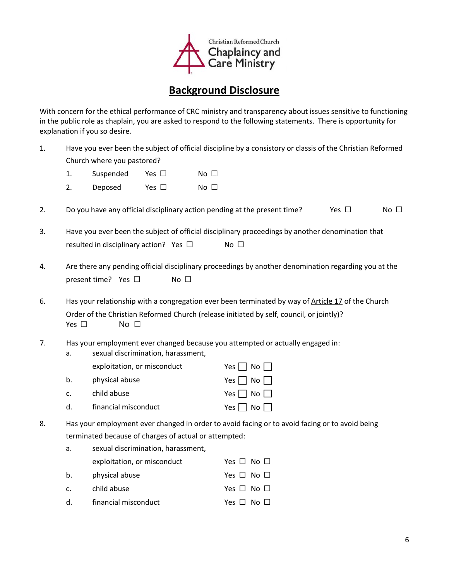

## **Background Disclosure**

With concern for the ethical performance of CRC ministry and transparency about issues sensitive to functioning in the public role as chaplain, you are asked to respond to the following statements. There is opportunity for explanation if you so desire.

1. Have you ever been the subject of official discipline by a consistory or classis of the Christian Reformed Church where you pastored?

| No $\square$<br>Yes $\square$<br>Suspended<br><b>L.</b> |  |
|---------------------------------------------------------|--|
|---------------------------------------------------------|--|

- 2. Deposed Yes □ No □
- 2. Do you have any official disciplinary action pending at the present time? Yes  $\Box$  No  $\Box$
- 3. Have you ever been the subject of official disciplinary proceedings by another denomination that resulted in disciplinary action? Yes □ No □
- 4. Are there any pending official disciplinary proceedings by another denomination regarding you at the present time? Yes □ No □
- 6. Has your relationship with a congregation ever been terminated by way of Article 17 of the Church Order of the Christian Reformed Church (release initiated by self, council, or jointly)? Yes □ No □
- 7. Has your employment ever changed because you attempted or actually engaged in:
	- a. sexual discrimination, harassment, exploitation, or misconduct  $Yes \Box No \Box$ b. physical abuse  $Y$ es  $\neg$  No  $\neg$ c. child abuse  $Y$ es  $\neg$  No  $\neg$ d. financial misconduct Yes ■ No
- 8. Has your employment ever changed in order to avoid facing or to avoid facing or to avoid being terminated because of charges of actual or attempted:

| a. | sexual discrimination, harassment, |                      |
|----|------------------------------------|----------------------|
|    | exploitation, or misconduct        | Yes $\Box$ No $\Box$ |
| b. | physical abuse                     | Yes $\Box$ No $\Box$ |
| c. | child abuse                        | Yes $\Box$ No $\Box$ |
| d. | financial misconduct               | Yes $\Box$ No $\Box$ |
|    |                                    |                      |